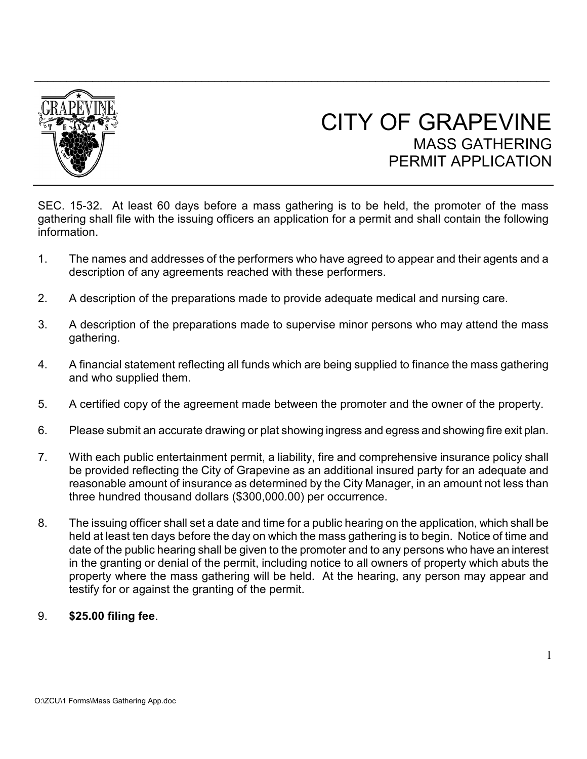

## CITY OF GRAPEVINE MASS GATHERING PERMIT APPI ICATION

SEC. 15-32. At least 60 days before a mass gathering is to be held, the promoter of the mass gathering shall file with the issuing officers an application for a permit and shall contain the following information.

- 1. The names and addresses of the performers who have agreed to appear and their agents and a description of any agreements reached with these performers.
- 2. A description of the preparations made to provide adequate medical and nursing care.
- 3. A description of the preparations made to supervise minor persons who may attend the mass gathering.
- 4. A financial statement reflecting all funds which are being supplied to finance the mass gathering and who supplied them.
- 5. A certified copy of the agreement made between the promoter and the owner of the property.
- 6. Please submit an accurate drawing or plat showing ingress and egress and showing fire exit plan.
- 7. With each public entertainment permit, a liability, fire and comprehensive insurance policy shall be provided reflecting the City of Grapevine as an additional insured party for an adequate and reasonable amount of insurance as determined by the City Manager, in an amount not less than three hundred thousand dollars (\$300,000.00) per occurrence.
- 8. The issuing officer shall set a date and time for a public hearing on the application, which shall be held at least ten days before the day on which the mass gathering is to begin. Notice of time and date of the public hearing shall be given to the promoter and to any persons who have an interest in the granting or denial of the permit, including notice to all owners of property which abuts the property where the mass gathering will be held. At the hearing, any person may appear and testify for or against the granting of the permit.

## 9. **\$25.00 filing fee**.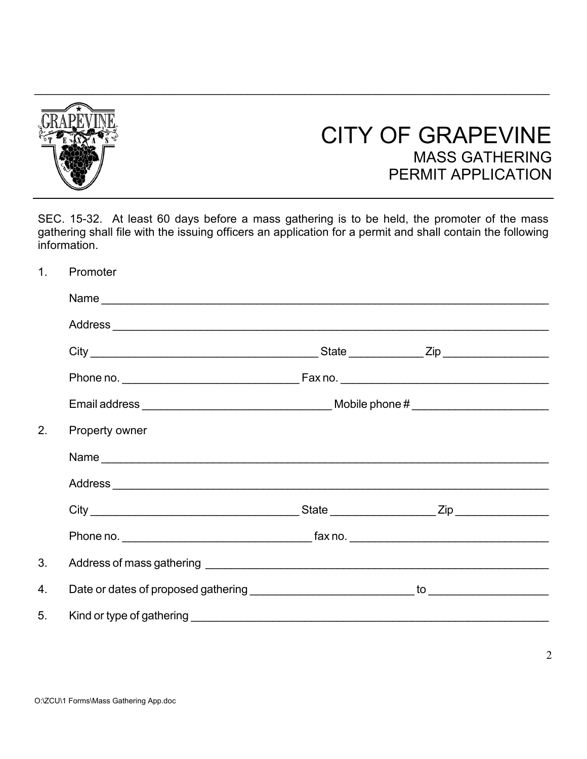

## CITY OF GRAPEVINE MASS GATHERING PERMIT APPLICATION

SEC. 15-32. At least 60 days before a mass gathering is to be held, the promoter of the mass gathering shall file with the issuing officers an application for a permit and shall contain the following information.

1. Promoter

| 2. | Property owner |  |  |  |  |
|----|----------------|--|--|--|--|
|    |                |  |  |  |  |
|    |                |  |  |  |  |
|    |                |  |  |  |  |
|    |                |  |  |  |  |
| 3. |                |  |  |  |  |
| 4. |                |  |  |  |  |
| 5. |                |  |  |  |  |
|    |                |  |  |  |  |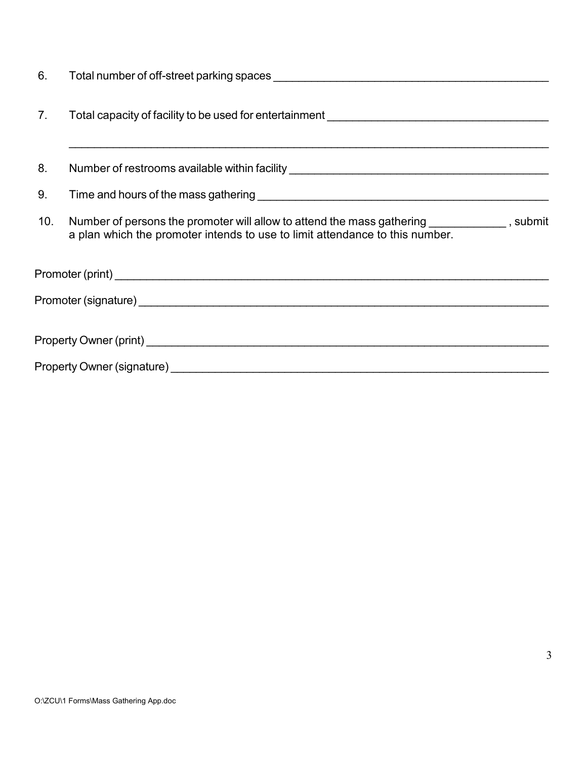| 6.  |                                                                                                                                                                             |
|-----|-----------------------------------------------------------------------------------------------------------------------------------------------------------------------------|
| 7.  |                                                                                                                                                                             |
| 8.  | Number of restrooms available within facility __________________________________                                                                                            |
| 9.  |                                                                                                                                                                             |
| 10. | Number of persons the promoter will allow to attend the mass gathering ____________, submit<br>a plan which the promoter intends to use to limit attendance to this number. |
|     |                                                                                                                                                                             |
|     |                                                                                                                                                                             |
|     |                                                                                                                                                                             |
|     |                                                                                                                                                                             |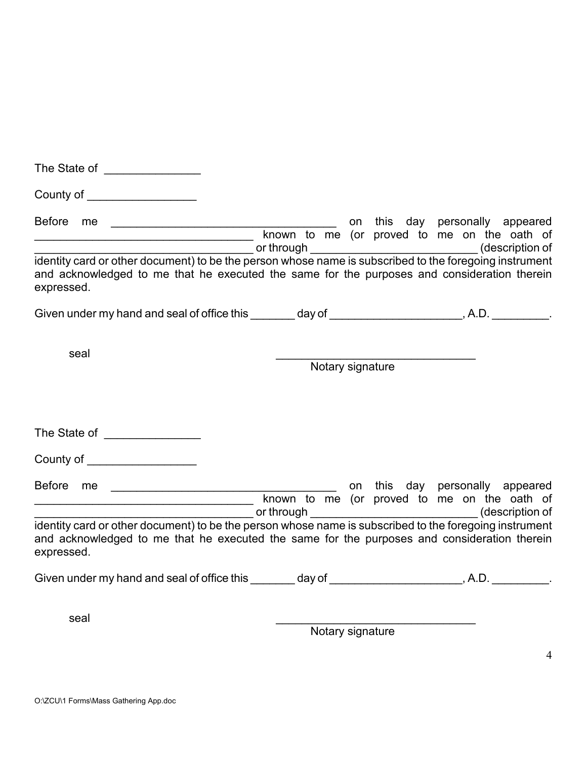| The State of the State of the State of the State of the State of the State of the State of the State of the State of the State of the State of the State of the State of the State of the State of the State of the State of t       |                                                                                                                       |  |  |  |  |                                 |
|--------------------------------------------------------------------------------------------------------------------------------------------------------------------------------------------------------------------------------------|-----------------------------------------------------------------------------------------------------------------------|--|--|--|--|---------------------------------|
| County of <b>County of Electron County of The County of The County of The County of The County of The County of The County of The County of The County of The County of The County of The County of The County of The County of </b> |                                                                                                                       |  |  |  |  |                                 |
| Before me<br>____________________ or through ___________________________________(description of                                                                                                                                      |                                                                                                                       |  |  |  |  | on this day personally appeared |
| identity card or other document) to be the person whose name is subscribed to the foregoing instrument<br>and acknowledged to me that he executed the same for the purposes and consideration therein<br>expressed.                  |                                                                                                                       |  |  |  |  |                                 |
| Given under my hand and seal of office this ________ day of _____________________, A.D. __________.                                                                                                                                  |                                                                                                                       |  |  |  |  |                                 |
| seal                                                                                                                                                                                                                                 | Notary signature                                                                                                      |  |  |  |  |                                 |
| The State of ________________                                                                                                                                                                                                        |                                                                                                                       |  |  |  |  |                                 |
| County of ____________________                                                                                                                                                                                                       |                                                                                                                       |  |  |  |  |                                 |
|                                                                                                                                                                                                                                      | known to me (or proved to me on the oath of<br>__________ or through _________________________________(description of |  |  |  |  | on this day personally appeared |
| identity card or other document) to be the person whose name is subscribed to the foregoing instrument<br>and acknowledged to me that he executed the same for the purposes and consideration therein<br>expressed.                  |                                                                                                                       |  |  |  |  |                                 |
| Given under my hand and seal of office this ________ day of _____________________, A.D. __________.                                                                                                                                  |                                                                                                                       |  |  |  |  |                                 |
| seal                                                                                                                                                                                                                                 |                                                                                                                       |  |  |  |  |                                 |

Notary signature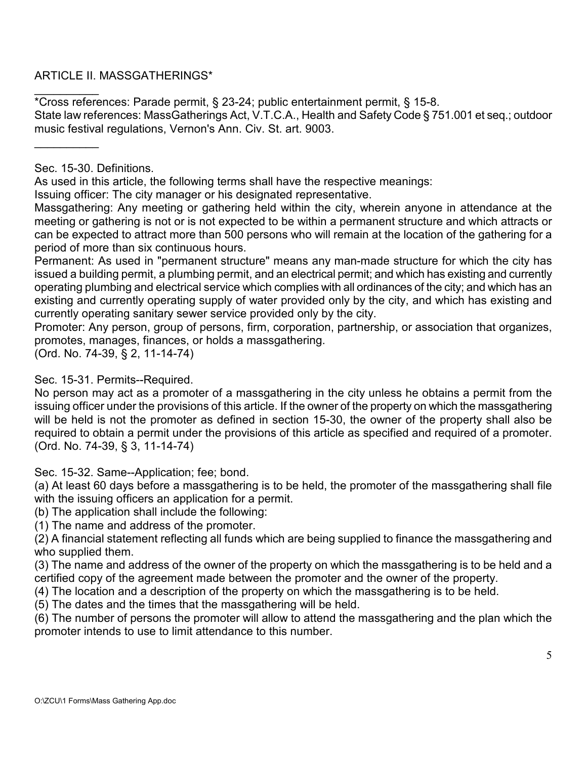ARTICLE II. MASSGATHERINGS\*

 $\overline{\phantom{a}}$ \*Cross references: Parade permit, § 23-24; public entertainment permit, § 15-8. State law references: MassGatherings Act, V.T.C.A., Health and Safety Code § 751.001 et seq.; outdoor music festival regulations, Vernon's Ann. Civ. St. art. 9003.

Sec. 15-30. Definitions.

 $\overline{\phantom{a}}$ 

As used in this article, the following terms shall have the respective meanings:

Issuing officer: The city manager or his designated representative.

Massgathering: Any meeting or gathering held within the city, wherein anyone in attendance at the meeting or gathering is not or is not expected to be within a permanent structure and which attracts or can be expected to attract more than 500 persons who will remain at the location of the gathering for a period of more than six continuous hours.

Permanent: As used in "permanent structure" means any man-made structure for which the city has issued a building permit, a plumbing permit, and an electrical permit; and which has existing and currently operating plumbing and electrical service which complies with all ordinances of the city; and which has an existing and currently operating supply of water provided only by the city, and which has existing and currently operating sanitary sewer service provided only by the city.

Promoter: Any person, group of persons, firm, corporation, partnership, or association that organizes, promotes, manages, finances, or holds a massgathering.

(Ord. No. 74-39, § 2, 11-14-74)

Sec. 15-31. Permits--Required.

No person may act as a promoter of a massgathering in the city unless he obtains a permit from the issuing officer under the provisions of this article. If the owner of the property on which the massgathering will be held is not the promoter as defined in section 15-30, the owner of the property shall also be required to obtain a permit under the provisions of this article as specified and required of a promoter. (Ord. No. 74-39, § 3, 11-14-74)

Sec. 15-32. Same--Application; fee; bond.

(a) At least 60 days before a massgathering is to be held, the promoter of the massgathering shall file with the issuing officers an application for a permit.

(b) The application shall include the following:

(1) The name and address of the promoter.

(2) A financial statement reflecting all funds which are being supplied to finance the massgathering and who supplied them.

(3) The name and address of the owner of the property on which the massgathering is to be held and a certified copy of the agreement made between the promoter and the owner of the property.

(4) The location and a description of the property on which the massgathering is to be held.

(5) The dates and the times that the massgathering will be held.

(6) The number of persons the promoter will allow to attend the massgathering and the plan which the promoter intends to use to limit attendance to this number.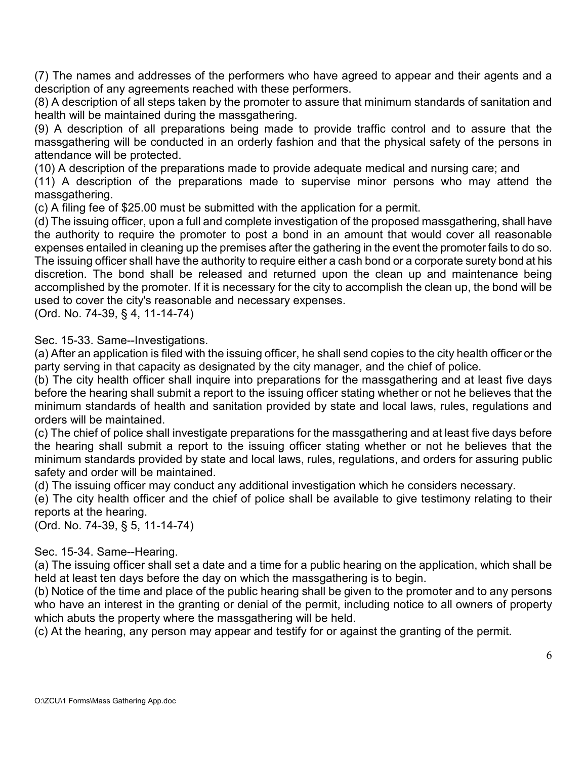(7) The names and addresses of the performers who have agreed to appear and their agents and a description of any agreements reached with these performers.

(8) A description of all steps taken by the promoter to assure that minimum standards of sanitation and health will be maintained during the massgathering.

(9) A description of all preparations being made to provide traffic control and to assure that the massgathering will be conducted in an orderly fashion and that the physical safety of the persons in attendance will be protected.

(10) A description of the preparations made to provide adequate medical and nursing care; and

(11) A description of the preparations made to supervise minor persons who may attend the massgathering.

(c) A filing fee of \$25.00 must be submitted with the application for a permit.

(d) The issuing officer, upon a full and complete investigation of the proposed massgathering, shall have the authority to require the promoter to post a bond in an amount that would cover all reasonable expenses entailed in cleaning up the premises after the gathering in the event the promoter fails to do so. The issuing officer shall have the authority to require either a cash bond or a corporate surety bond at his discretion. The bond shall be released and returned upon the clean up and maintenance being accomplished by the promoter. If it is necessary for the city to accomplish the clean up, the bond will be used to cover the city's reasonable and necessary expenses.

(Ord. No. 74-39, § 4, 11-14-74)

Sec. 15-33. Same--Investigations.

(a) After an application is filed with the issuing officer, he shall send copies to the city health officer or the party serving in that capacity as designated by the city manager, and the chief of police.

(b) The city health officer shall inquire into preparations for the massgathering and at least five days before the hearing shall submit a report to the issuing officer stating whether or not he believes that the minimum standards of health and sanitation provided by state and local laws, rules, regulations and orders will be maintained.

(c) The chief of police shall investigate preparations for the massgathering and at least five days before the hearing shall submit a report to the issuing officer stating whether or not he believes that the minimum standards provided by state and local laws, rules, regulations, and orders for assuring public safety and order will be maintained.

(d) The issuing officer may conduct any additional investigation which he considers necessary.

(e) The city health officer and the chief of police shall be available to give testimony relating to their reports at the hearing.

(Ord. No. 74-39, § 5, 11-14-74)

## Sec. 15-34. Same--Hearing.

(a) The issuing officer shall set a date and a time for a public hearing on the application, which shall be held at least ten days before the day on which the massgathering is to begin.

(b) Notice of the time and place of the public hearing shall be given to the promoter and to any persons who have an interest in the granting or denial of the permit, including notice to all owners of property which abuts the property where the massgathering will be held.

(c) At the hearing, any person may appear and testify for or against the granting of the permit.